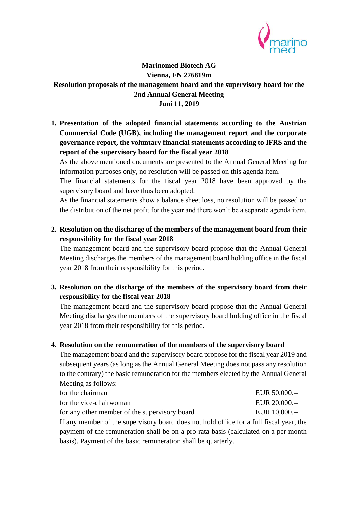

## **Marinomed Biotech AG Vienna, FN 276819m Resolution proposals of the management board and the supervisory board for the 2nd Annual General Meeting Juni 11, 2019**

**1. Presentation of the adopted financial statements according to the Austrian Commercial Code (UGB), including the management report and the corporate governance report, the voluntary financial statements according to IFRS and the report of the supervisory board for the fiscal year 2018**

As the above mentioned documents are presented to the Annual General Meeting for information purposes only, no resolution will be passed on this agenda item.

The financial statements for the fiscal year 2018 have been approved by the supervisory board and have thus been adopted.

As the financial statements show a balance sheet loss, no resolution will be passed on the distribution of the net profit for the year and there won't be a separate agenda item.

**2. Resolution on the discharge of the members of the management board from their responsibility for the fiscal year 2018**

The management board and the supervisory board propose that the Annual General Meeting discharges the members of the management board holding office in the fiscal year 2018 from their responsibility for this period.

**3. Resolution on the discharge of the members of the supervisory board from their responsibility for the fiscal year 2018**

The management board and the supervisory board propose that the Annual General Meeting discharges the members of the supervisory board holding office in the fiscal year 2018 from their responsibility for this period.

## **4. Resolution on the remuneration of the members of the supervisory board**

The management board and the supervisory board propose for the fiscal year 2019 and subsequent years (as long as the Annual General Meeting does not pass any resolution to the contrary) the basic remuneration for the members elected by the Annual General Meeting as follows:

| for the chairman                                                                        | EUR 50,000.-- |
|-----------------------------------------------------------------------------------------|---------------|
| for the vice-chairwoman                                                                 | EUR 20,000.-- |
| for any other member of the supervisory board                                           | EUR 10,000.-- |
| If any member of the supervisory board does not hold office for a full fiscal year, the |               |

payment of the remuneration shall be on a pro-rata basis (calculated on a per month basis). Payment of the basic remuneration shall be quarterly.